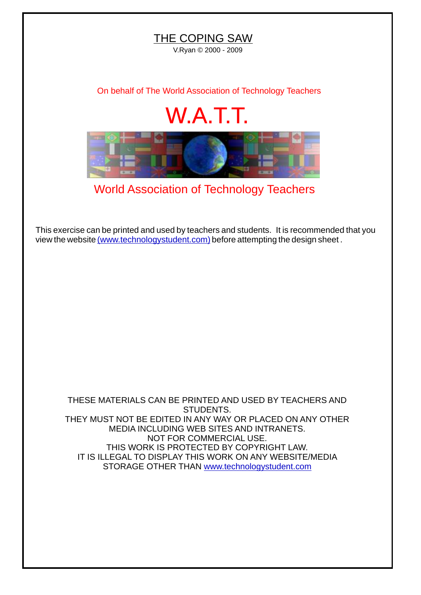